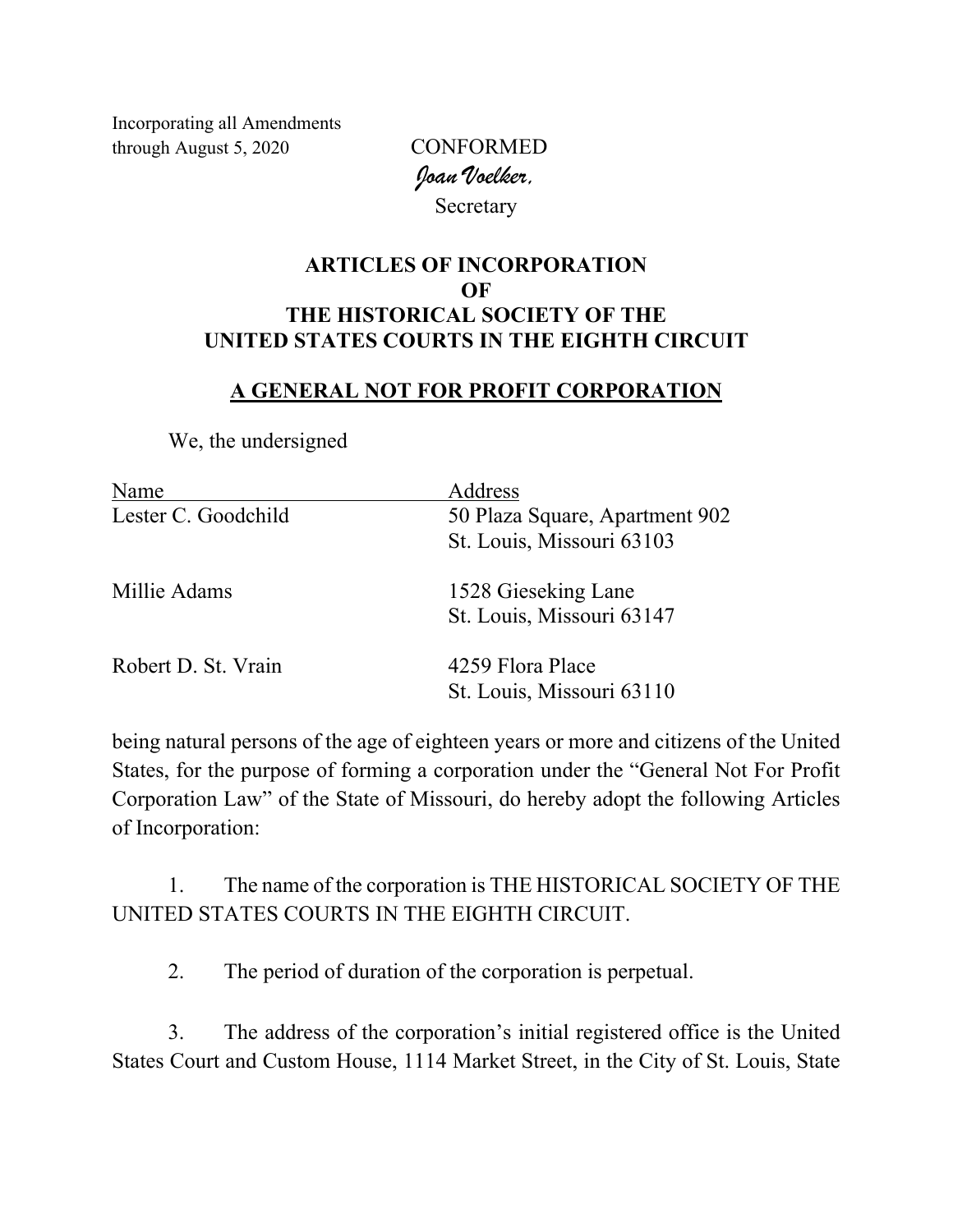Incorporating all Amendments through August 5, 2020 CONFORMED

*Joan Voelker,*  Secretary

## **ARTICLES OF INCORPORATION OF THE HISTORICAL SOCIETY OF THE UNITED STATES COURTS IN THE EIGHTH CIRCUIT**

## **A GENERAL NOT FOR PROFIT CORPORATION**

We, the undersigned

| Name                | Address                        |
|---------------------|--------------------------------|
| Lester C. Goodchild | 50 Plaza Square, Apartment 902 |
|                     | St. Louis, Missouri 63103      |
| Millie Adams        | 1528 Gieseking Lane            |
|                     | St. Louis, Missouri 63147      |
| Robert D. St. Vrain | 4259 Flora Place               |
|                     | St. Louis, Missouri 63110      |

being natural persons of the age of eighteen years or more and citizens of the United States, for the purpose of forming a corporation under the "General Not For Profit Corporation Law" of the State of Missouri, do hereby adopt the following Articles of Incorporation:

1. The name of the corporation is THE HISTORICAL SOCIETY OF THE UNITED STATES COURTS IN THE EIGHTH CIRCUIT.

2. The period of duration of the corporation is perpetual.

3. The address of the corporation's initial registered office is the United States Court and Custom House, 1114 Market Street, in the City of St. Louis, State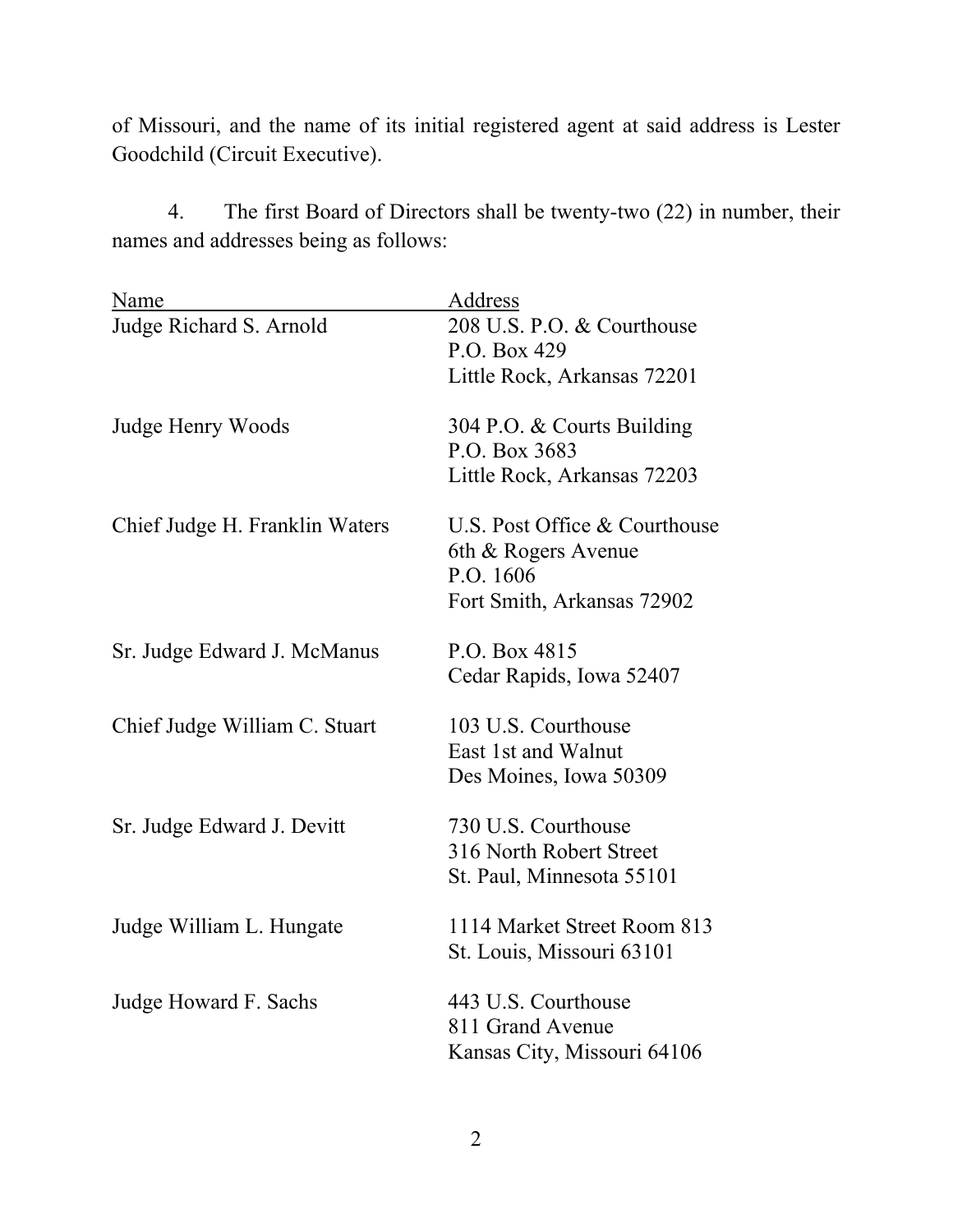of Missouri, and the name of its initial registered agent at said address is Lester Goodchild (Circuit Executive).

4. The first Board of Directors shall be twenty-two (22) in number, their names and addresses being as follows:

| Name                           | Address                       |
|--------------------------------|-------------------------------|
| Judge Richard S. Arnold        | 208 U.S. P.O. & Courthouse    |
|                                | P.O. Box 429                  |
|                                | Little Rock, Arkansas 72201   |
| Judge Henry Woods              | 304 P.O. & Courts Building    |
|                                | P.O. Box 3683                 |
|                                | Little Rock, Arkansas 72203   |
| Chief Judge H. Franklin Waters | U.S. Post Office & Courthouse |
|                                | 6th & Rogers Avenue           |
|                                | P.O. 1606                     |
|                                | Fort Smith, Arkansas 72902    |
| Sr. Judge Edward J. McManus    | P.O. Box 4815                 |
|                                | Cedar Rapids, Iowa 52407      |
| Chief Judge William C. Stuart  | 103 U.S. Courthouse           |
|                                | East 1st and Walnut           |
|                                | Des Moines, Iowa 50309        |
| Sr. Judge Edward J. Devitt     | 730 U.S. Courthouse           |
|                                | 316 North Robert Street       |
|                                | St. Paul, Minnesota 55101     |
| Judge William L. Hungate       | 1114 Market Street Room 813   |
|                                | St. Louis, Missouri 63101     |
| Judge Howard F. Sachs          | 443 U.S. Courthouse           |
|                                | 811 Grand Avenue              |
|                                | Kansas City, Missouri 64106   |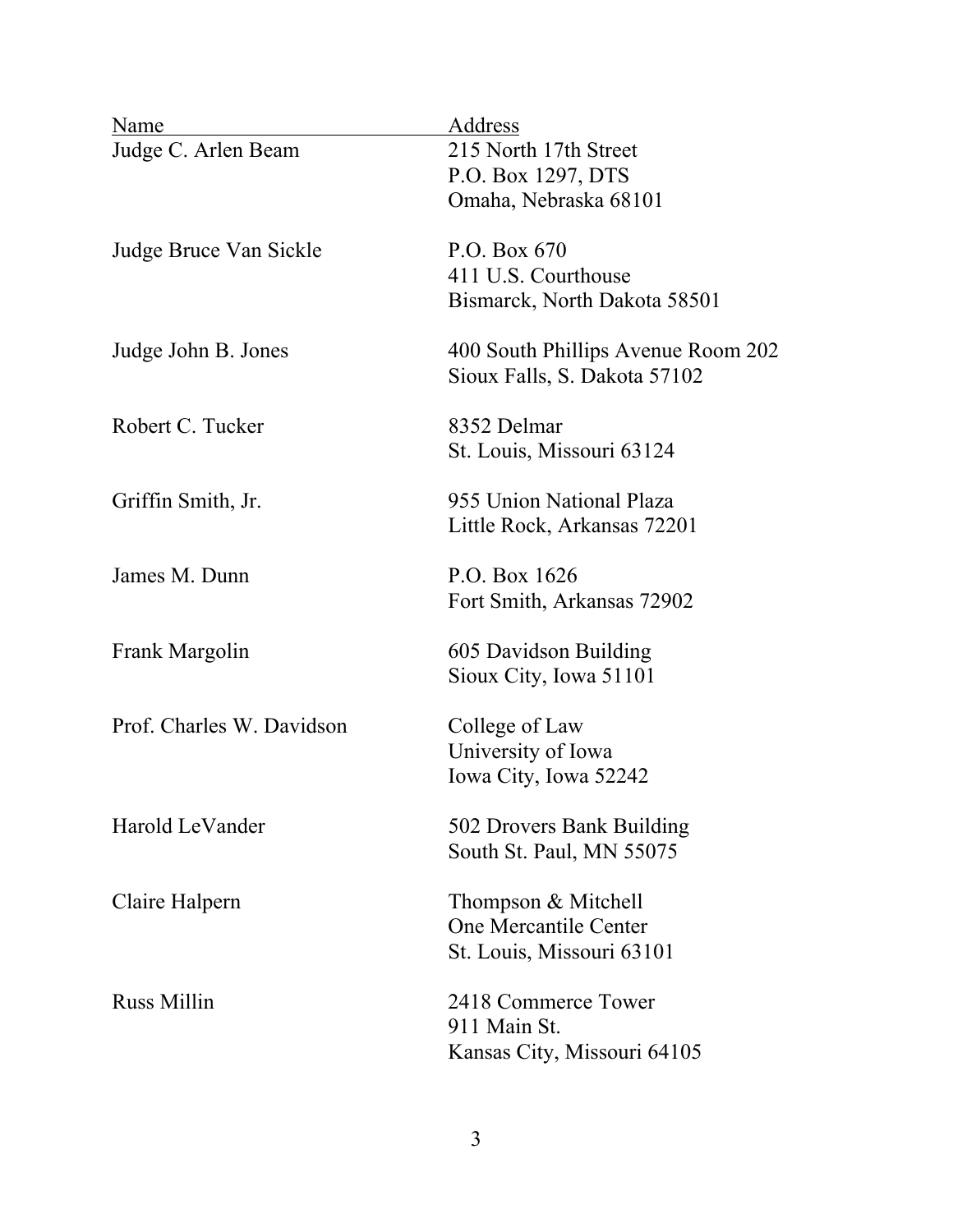| Name                      | Address                                                            |
|---------------------------|--------------------------------------------------------------------|
| Judge C. Arlen Beam       | 215 North 17th Street<br>P.O. Box 1297, DTS                        |
|                           | Omaha, Nebraska 68101                                              |
| Judge Bruce Van Sickle    | P.O. Box 670                                                       |
|                           | 411 U.S. Courthouse                                                |
|                           | Bismarck, North Dakota 58501                                       |
| Judge John B. Jones       | 400 South Phillips Avenue Room 202<br>Sioux Falls, S. Dakota 57102 |
| Robert C. Tucker          | 8352 Delmar                                                        |
|                           | St. Louis, Missouri 63124                                          |
| Griffin Smith, Jr.        | 955 Union National Plaza                                           |
|                           | Little Rock, Arkansas 72201                                        |
|                           |                                                                    |
| James M. Dunn             | P.O. Box 1626<br>Fort Smith, Arkansas 72902                        |
|                           |                                                                    |
| Frank Margolin            | 605 Davidson Building                                              |
|                           | Sioux City, Iowa 51101                                             |
| Prof. Charles W. Davidson | College of Law                                                     |
|                           | University of Iowa<br>Iowa City, Iowa 52242                        |
|                           |                                                                    |
| Harold LeVander           | 502 Drovers Bank Building                                          |
|                           | South St. Paul, MN 55075                                           |
| Claire Halpern            | Thompson & Mitchell                                                |
|                           | One Mercantile Center                                              |
|                           | St. Louis, Missouri 63101                                          |
| <b>Russ Millin</b>        | 2418 Commerce Tower                                                |
|                           | 911 Main St.                                                       |
|                           | Kansas City, Missouri 64105                                        |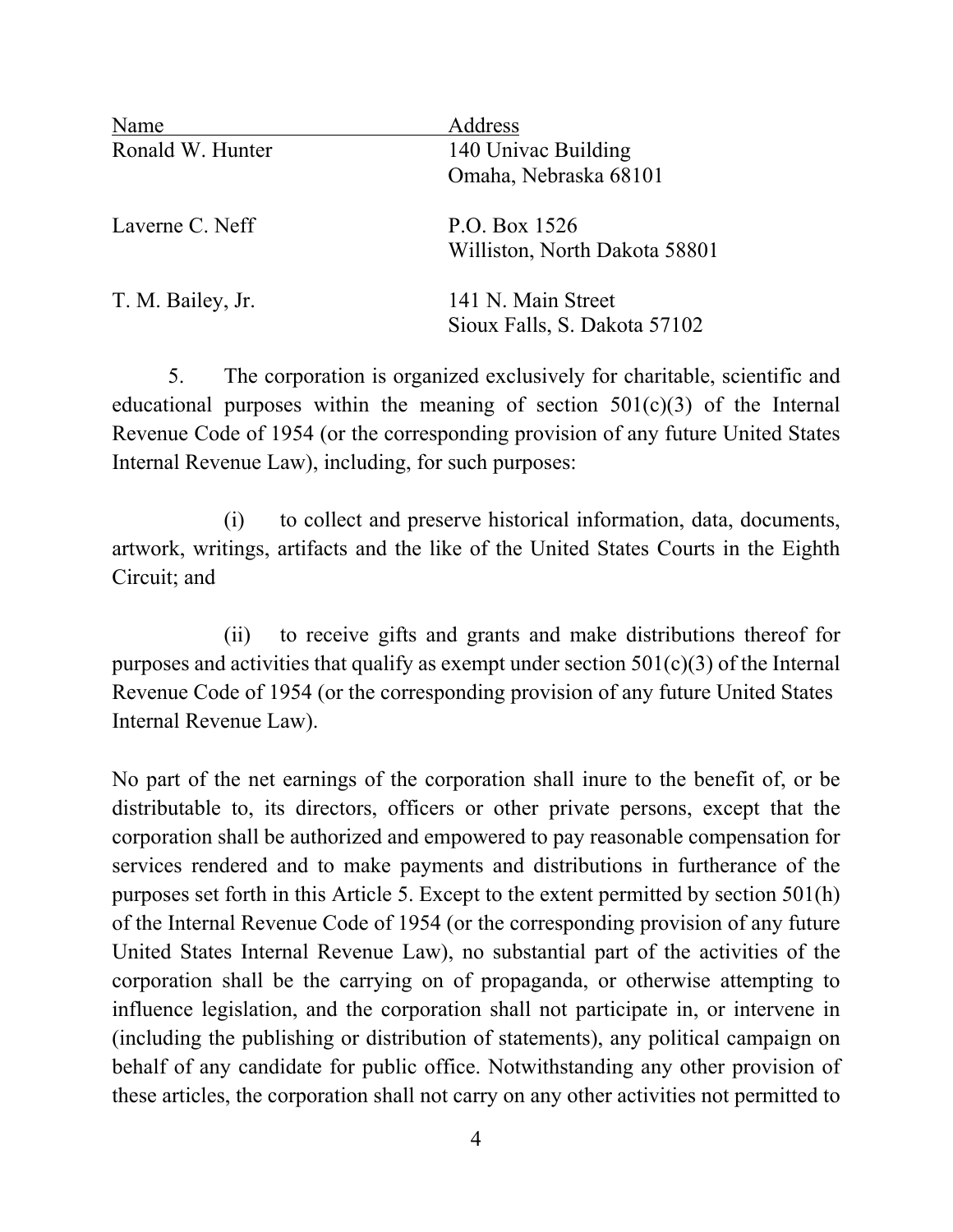| Name              | Address                       |
|-------------------|-------------------------------|
| Ronald W. Hunter  | 140 Univac Building           |
|                   | Omaha, Nebraska 68101         |
| Laverne C. Neff   | P.O. Box 1526                 |
|                   | Williston, North Dakota 58801 |
| T. M. Bailey, Jr. | 141 N. Main Street            |
|                   | Sioux Falls, S. Dakota 57102  |

5. The corporation is organized exclusively for charitable, scientific and educational purposes within the meaning of section  $501(c)(3)$  of the Internal Revenue Code of 1954 (or the corresponding provision of any future United States Internal Revenue Law), including, for such purposes:

 (i) to collect and preserve historical information, data, documents, artwork, writings, artifacts and the like of the United States Courts in the Eighth Circuit; and

 (ii) to receive gifts and grants and make distributions thereof for purposes and activities that qualify as exempt under section  $501(c)(3)$  of the Internal Revenue Code of 1954 (or the corresponding provision of any future United States Internal Revenue Law).

No part of the net earnings of the corporation shall inure to the benefit of, or be distributable to, its directors, officers or other private persons, except that the corporation shall be authorized and empowered to pay reasonable compensation for services rendered and to make payments and distributions in furtherance of the purposes set forth in this Article 5. Except to the extent permitted by section 501(h) of the Internal Revenue Code of 1954 (or the corresponding provision of any future United States Internal Revenue Law), no substantial part of the activities of the corporation shall be the carrying on of propaganda, or otherwise attempting to influence legislation, and the corporation shall not participate in, or intervene in (including the publishing or distribution of statements), any political campaign on behalf of any candidate for public office. Notwithstanding any other provision of these articles, the corporation shall not carry on any other activities not permitted to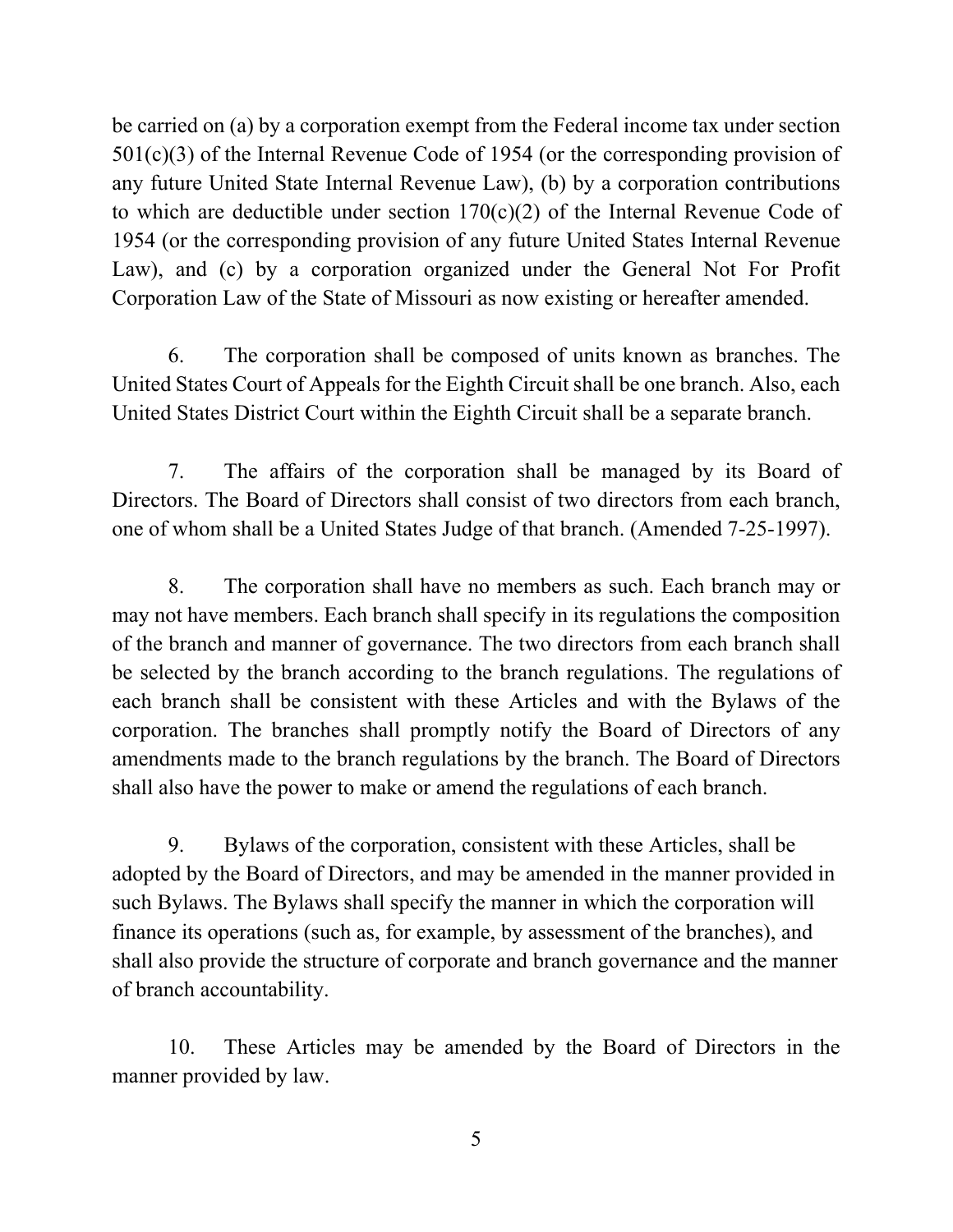be carried on (a) by a corporation exempt from the Federal income tax under section 501(c)(3) of the Internal Revenue Code of 1954 (or the corresponding provision of any future United State Internal Revenue Law), (b) by a corporation contributions to which are deductible under section 170(c)(2) of the Internal Revenue Code of 1954 (or the corresponding provision of any future United States Internal Revenue Law), and (c) by a corporation organized under the General Not For Profit Corporation Law of the State of Missouri as now existing or hereafter amended.

6. The corporation shall be composed of units known as branches. The United States Court of Appeals for the Eighth Circuit shall be one branch. Also, each United States District Court within the Eighth Circuit shall be a separate branch.

7. The affairs of the corporation shall be managed by its Board of Directors. The Board of Directors shall consist of two directors from each branch, one of whom shall be a United States Judge of that branch. (Amended 7-25-1997).

8. The corporation shall have no members as such. Each branch may or may not have members. Each branch shall specify in its regulations the composition of the branch and manner of governance. The two directors from each branch shall be selected by the branch according to the branch regulations. The regulations of each branch shall be consistent with these Articles and with the Bylaws of the corporation. The branches shall promptly notify the Board of Directors of any amendments made to the branch regulations by the branch. The Board of Directors shall also have the power to make or amend the regulations of each branch.

9. Bylaws of the corporation, consistent with these Articles, shall be adopted by the Board of Directors, and may be amended in the manner provided in such Bylaws. The Bylaws shall specify the manner in which the corporation will finance its operations (such as, for example, by assessment of the branches), and shall also provide the structure of corporate and branch governance and the manner of branch accountability.

10. These Articles may be amended by the Board of Directors in the manner provided by law.